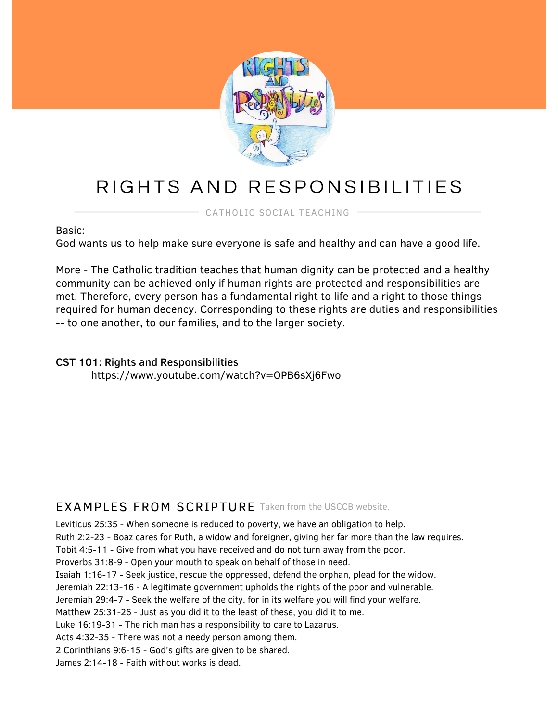

# RIGHTS AND RESPONSIBILITIES

CATHOLIC SOCIAL TEACHING

Basic:

God wants us to help make sure everyone is safe and healthy and can have a good life.

More - The Catholic tradition teaches that human dignity can be protected and a healthy community can be achieved only if human rights are protected and responsibilities are met. Therefore, every person has a fundamental right to life and a right to those things required for human decency. Corresponding to these rights are duties and responsibilities -- to one another, to our families, and to the larger society.

#### CST 101: Rights and Responsibilities https://www.youtube.com/watch?v=OPB6sXj6Fwo

## EXAMPLES FROM SCRIPTURE Taken from the USCCB website.

Leviticus 25:35 - When someone is reduced to poverty, we have an obligation to help.

Ruth 2:2-23 - Boaz cares for Ruth, a widow and foreigner, giving her far more than the law requires.

Tobit 4:5-11 - Give from what you have received and do not turn away from the poor.

Proverbs 31:8-9 - Open your mouth to speak on behalf of those in need.

Isaiah 1:16-17 - Seek justice, rescue the oppressed, defend the orphan, plead for the widow.

Jeremiah 22:13-16 - A legitimate government upholds the rights of the poor and vulnerable.

Jeremiah 29:4-7 - Seek the welfare of the city, for in its welfare you will find your welfare.

Matthew 25:31-26 - Just as you did it to the least of these, you did it to me.

Luke 16:19-31 - The rich man has a responsibility to care to Lazarus.

Acts 4:32-35 - There was not a needy person among them.

2 Corinthians 9:6-15 - God's gifts are given to be shared.

James 2:14-18 - Faith without works is dead.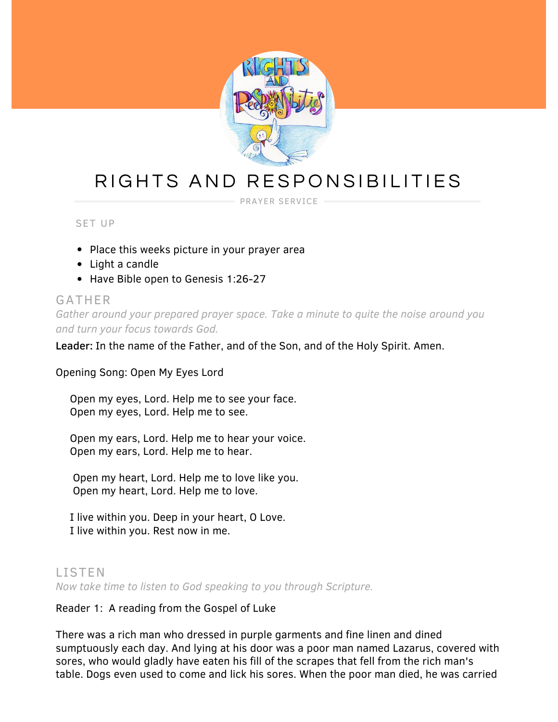

## RIGHTS AND RESPONSIBILITIES

PRAYER SERVICE

#### SET UP

- Place this weeks picture in your prayer area
- Light a candle
- Have Bible open to Genesis 1:26-27

#### GATHER

*Gather around your prepared prayer space. Take a minute to quite the noise around you and turn your focus towards God.*

Leader: In the name of the Father, and of the Son, and of the Holy Spirit. Amen.

Opening Song: Open My Eyes Lord

Open my eyes, Lord. Help me to see your face. Open my eyes, Lord. Help me to see.

Open my ears, Lord. Help me to hear your voice. Open my ears, Lord. Help me to hear.

Open my heart, Lord. Help me to love like you. Open my heart, Lord. Help me to love.

I live within you. Deep in your heart, O Love. I live within you. Rest now in me.

### LISTEN *Now take time to listen to God speaking to you through Scripture.*

#### Reader 1: A reading from the Gospel of Luke

There was a rich man who dressed in purple garments and fine linen and dined sumptuously each day. And lying at his door was a poor man named Lazarus, covered with sores, who would gladly have eaten his fill of the scrapes that fell from the rich man's table. Dogs even used to come and lick his sores. When the poor man died, he was carried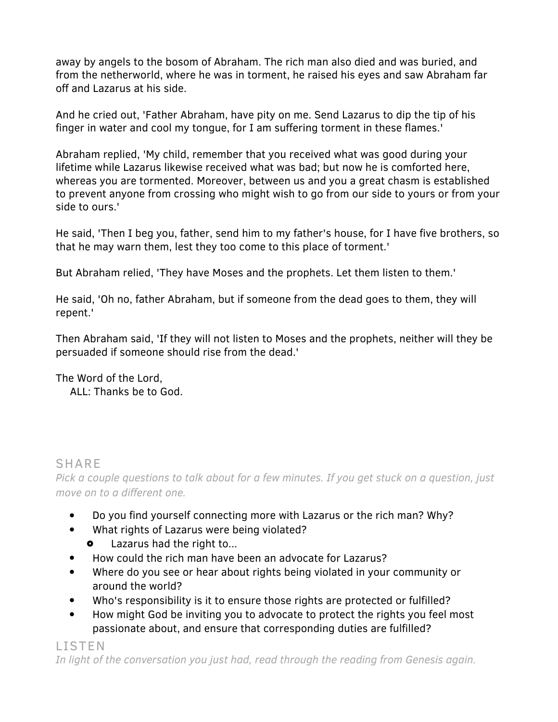away by angels to the bosom of Abraham. The rich man also died and was buried, and from the netherworld, where he was in torment, he raised his eyes and saw Abraham far off and Lazarus at his side.

And he cried out, 'Father Abraham, have pity on me. Send Lazarus to dip the tip of his finger in water and cool my tongue, for I am suffering torment in these flames.'

Abraham replied, 'My child, remember that you received what was good during your lifetime while Lazarus likewise received what was bad; but now he is comforted here, whereas you are tormented. Moreover, between us and you a great chasm is established to prevent anyone from crossing who might wish to go from our side to yours or from your side to ours.'

He said, 'Then I beg you, father, send him to my father's house, for I have five brothers, so that he may warn them, lest they too come to this place of torment.'

But Abraham relied, 'They have Moses and the prophets. Let them listen to them.'

He said, 'Oh no, father Abraham, but if someone from the dead goes to them, they will repent.'

Then Abraham said, 'If they will not listen to Moses and the prophets, neither will they be persuaded if someone should rise from the dead.'

The Word of the Lord, ALL: Thanks be to God.

### SHARE

*Pick a couple questions to talk about for a few minutes. If you get stuck on a question, just move on to a different one.*

- Do you find yourself connecting more with Lazarus or the rich man? Why?  $\bullet$
- What rights of Lazarus were being violated?  $\bullet$ 
	- $\bullet$ Lazarus had the right to...
- How could the rich man have been an advocate for Lazarus?
- Where do you see or hear about rights being violated in your community or  $\bullet$ around the world?
- Who's responsibility is it to ensure those rights are protected or fulfilled?
- How might God be inviting you to advocate to protect the rights you feel most passionate about, and ensure that corresponding duties are fulfilled?

LISTEN *In light of the conversation you just had, read through the reading from Genesis again.*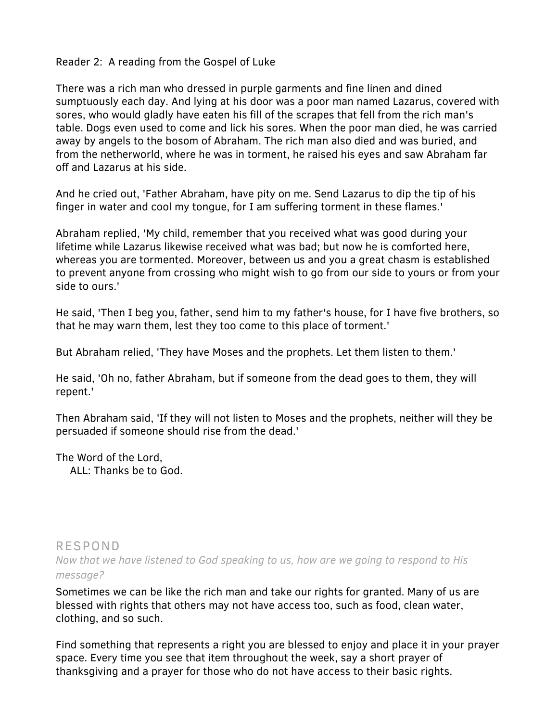#### Reader 2: A reading from the Gospel of Luke

There was a rich man who dressed in purple garments and fine linen and dined sumptuously each day. And lying at his door was a poor man named Lazarus, covered with sores, who would gladly have eaten his fill of the scrapes that fell from the rich man's table. Dogs even used to come and lick his sores. When the poor man died, he was carried away by angels to the bosom of Abraham. The rich man also died and was buried, and from the netherworld, where he was in torment, he raised his eyes and saw Abraham far off and Lazarus at his side.

And he cried out, 'Father Abraham, have pity on me. Send Lazarus to dip the tip of his finger in water and cool my tongue, for I am suffering torment in these flames.'

Abraham replied, 'My child, remember that you received what was good during your lifetime while Lazarus likewise received what was bad; but now he is comforted here, whereas you are tormented. Moreover, between us and you a great chasm is established to prevent anyone from crossing who might wish to go from our side to yours or from your side to ours.'

He said, 'Then I beg you, father, send him to my father's house, for I have five brothers, so that he may warn them, lest they too come to this place of torment.'

But Abraham relied, 'They have Moses and the prophets. Let them listen to them.'

He said, 'Oh no, father Abraham, but if someone from the dead goes to them, they will repent.'

Then Abraham said, 'If they will not listen to Moses and the prophets, neither will they be persuaded if someone should rise from the dead.'

The Word of the Lord,

ALL: Thanks be to God.

## RESPOND *Now that we have listened to God speaking to us, how are we going to respond to His message?*

Sometimes we can be like the rich man and take our rights for granted. Many of us are blessed with rights that others may not have access too, such as food, clean water, clothing, and so such.

Find something that represents a right you are blessed to enjoy and place it in your prayer space. Every time you see that item throughout the week, say a short prayer of thanksgiving and a prayer for those who do not have access to their basic rights.